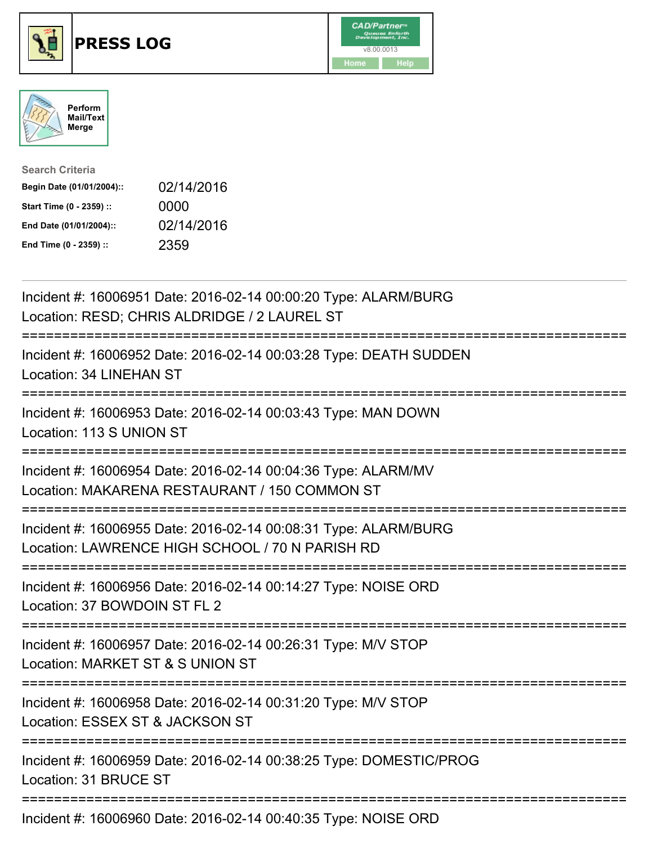





| <b>Search Criteria</b>    |            |
|---------------------------|------------|
| Begin Date (01/01/2004):: | 02/14/2016 |
| Start Time (0 - 2359) ::  | 0000       |
| End Date (01/01/2004)::   | 02/14/2016 |
| End Time (0 - 2359) ::    | 2359       |

| Incident #: 16006951 Date: 2016-02-14 00:00:20 Type: ALARM/BURG<br>Location: RESD; CHRIS ALDRIDGE / 2 LAUREL ST                                     |
|-----------------------------------------------------------------------------------------------------------------------------------------------------|
| Incident #: 16006952 Date: 2016-02-14 00:03:28 Type: DEATH SUDDEN<br><b>Location: 34 LINEHAN ST</b>                                                 |
| Incident #: 16006953 Date: 2016-02-14 00:03:43 Type: MAN DOWN<br>Location: 113 S UNION ST<br>---------------                                        |
| Incident #: 16006954 Date: 2016-02-14 00:04:36 Type: ALARM/MV<br>Location: MAKARENA RESTAURANT / 150 COMMON ST<br>--------------------------------- |
| Incident #: 16006955 Date: 2016-02-14 00:08:31 Type: ALARM/BURG<br>Location: LAWRENCE HIGH SCHOOL / 70 N PARISH RD                                  |
| Incident #: 16006956 Date: 2016-02-14 00:14:27 Type: NOISE ORD<br>Location: 37 BOWDOIN ST FL 2                                                      |
| Incident #: 16006957 Date: 2016-02-14 00:26:31 Type: M/V STOP<br>Location: MARKET ST & S UNION ST                                                   |
| Incident #: 16006958 Date: 2016-02-14 00:31:20 Type: M/V STOP<br>Location: ESSEX ST & JACKSON ST<br>;==========================                     |
| Incident #: 16006959 Date: 2016-02-14 00:38:25 Type: DOMESTIC/PROG<br>Location: 31 BRUCE ST                                                         |
| Incident #: 16006960 Date: 2016-02-14 00:40:35 Type: NOISE ORD                                                                                      |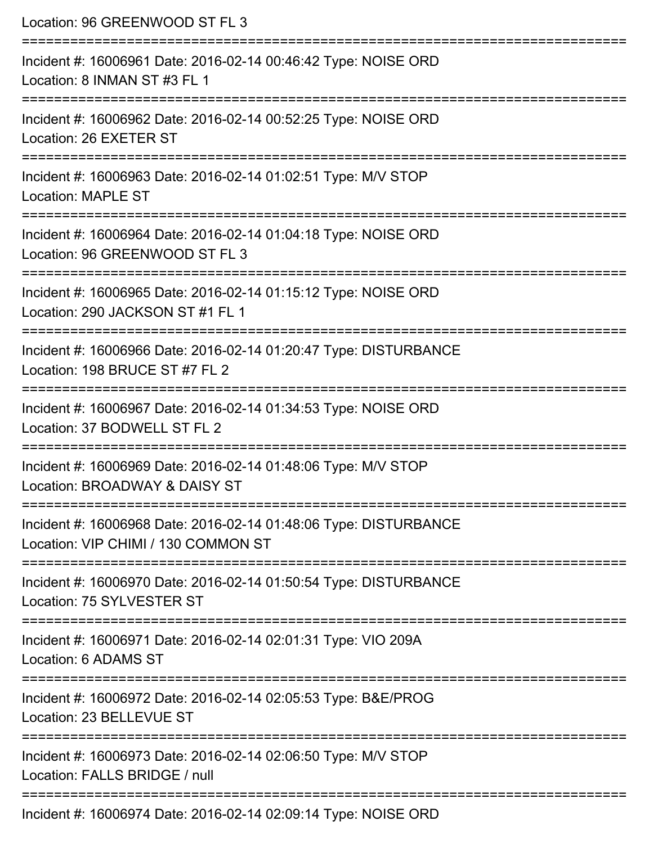| Location: 96 GREENWOOD ST FL 3                                                                                                         |
|----------------------------------------------------------------------------------------------------------------------------------------|
| Incident #: 16006961 Date: 2016-02-14 00:46:42 Type: NOISE ORD<br>Location: 8 INMAN ST #3 FL 1                                         |
| Incident #: 16006962 Date: 2016-02-14 00:52:25 Type: NOISE ORD<br>Location: 26 EXETER ST                                               |
| Incident #: 16006963 Date: 2016-02-14 01:02:51 Type: M/V STOP<br><b>Location: MAPLE ST</b>                                             |
| Incident #: 16006964 Date: 2016-02-14 01:04:18 Type: NOISE ORD<br>Location: 96 GREENWOOD ST FL 3                                       |
| Incident #: 16006965 Date: 2016-02-14 01:15:12 Type: NOISE ORD<br>Location: 290 JACKSON ST #1 FL 1                                     |
| ================================<br>Incident #: 16006966 Date: 2016-02-14 01:20:47 Type: DISTURBANCE<br>Location: 198 BRUCE ST #7 FL 2 |
| Incident #: 16006967 Date: 2016-02-14 01:34:53 Type: NOISE ORD<br>Location: 37 BODWELL ST FL 2                                         |
| Incident #: 16006969 Date: 2016-02-14 01:48:06 Type: M/V STOP<br>Location: BROADWAY & DAISY ST<br>----------------------------------   |
| Incident #: 16006968 Date: 2016-02-14 01:48:06 Type: DISTURBANCE<br>Location: VIP CHIMI / 130 COMMON ST                                |
| Incident #: 16006970 Date: 2016-02-14 01:50:54 Type: DISTURBANCE<br>Location: 75 SYLVESTER ST                                          |
| Incident #: 16006971 Date: 2016-02-14 02:01:31 Type: VIO 209A<br>Location: 6 ADAMS ST                                                  |
| :=================================<br>Incident #: 16006972 Date: 2016-02-14 02:05:53 Type: B&E/PROG<br>Location: 23 BELLEVUE ST        |
| Incident #: 16006973 Date: 2016-02-14 02:06:50 Type: M/V STOP<br>Location: FALLS BRIDGE / null                                         |
| Incident #: 16006974 Date: 2016-02-14 02:09:14 Type: NOISE ORD                                                                         |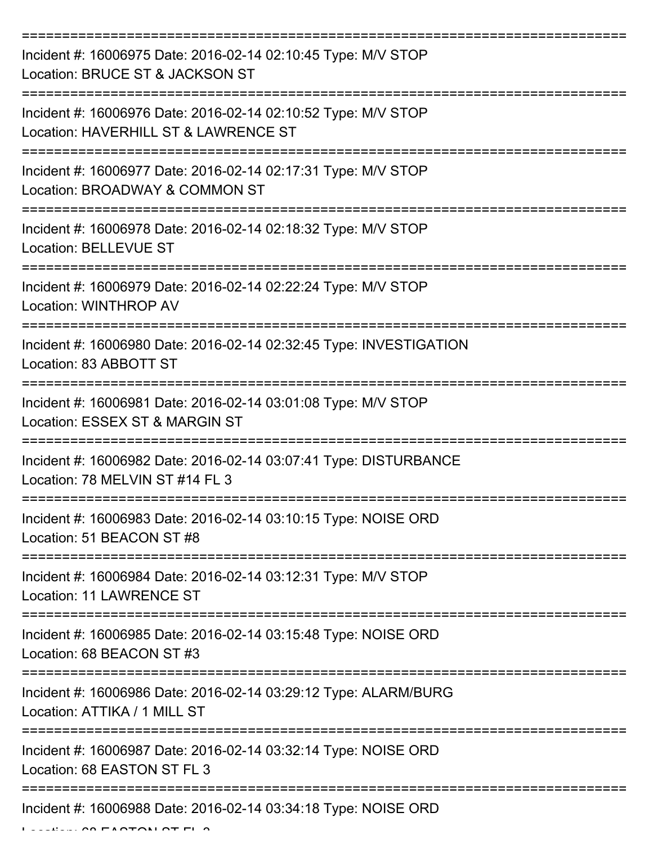| Incident #: 16006975 Date: 2016-02-14 02:10:45 Type: M/V STOP<br>Location: BRUCE ST & JACKSON ST      |
|-------------------------------------------------------------------------------------------------------|
| Incident #: 16006976 Date: 2016-02-14 02:10:52 Type: M/V STOP<br>Location: HAVERHILL ST & LAWRENCE ST |
| Incident #: 16006977 Date: 2016-02-14 02:17:31 Type: M/V STOP<br>Location: BROADWAY & COMMON ST       |
| Incident #: 16006978 Date: 2016-02-14 02:18:32 Type: M/V STOP<br><b>Location: BELLEVUE ST</b>         |
| Incident #: 16006979 Date: 2016-02-14 02:22:24 Type: M/V STOP<br>Location: WINTHROP AV                |
| Incident #: 16006980 Date: 2016-02-14 02:32:45 Type: INVESTIGATION<br>Location: 83 ABBOTT ST          |
| Incident #: 16006981 Date: 2016-02-14 03:01:08 Type: M/V STOP<br>Location: ESSEX ST & MARGIN ST       |
| Incident #: 16006982 Date: 2016-02-14 03:07:41 Type: DISTURBANCE<br>Location: 78 MELVIN ST #14 FL 3   |
| Incident #: 16006983 Date: 2016-02-14 03:10:15 Type: NOISE ORD<br>Location: 51 BEACON ST #8           |
| Incident #: 16006984 Date: 2016-02-14 03:12:31 Type: M/V STOP<br><b>Location: 11 LAWRENCE ST</b>      |
| Incident #: 16006985 Date: 2016-02-14 03:15:48 Type: NOISE ORD<br>Location: 68 BEACON ST #3           |
| Incident #: 16006986 Date: 2016-02-14 03:29:12 Type: ALARM/BURG<br>Location: ATTIKA / 1 MILL ST       |
| Incident #: 16006987 Date: 2016-02-14 03:32:14 Type: NOISE ORD<br>Location: 68 EASTON ST FL 3         |
| Incident #: 16006988 Date: 2016-02-14 03:34:18 Type: NOISE ORD                                        |

 $L_{\text{max}}$  on  $F$  and  $F$  and  $F$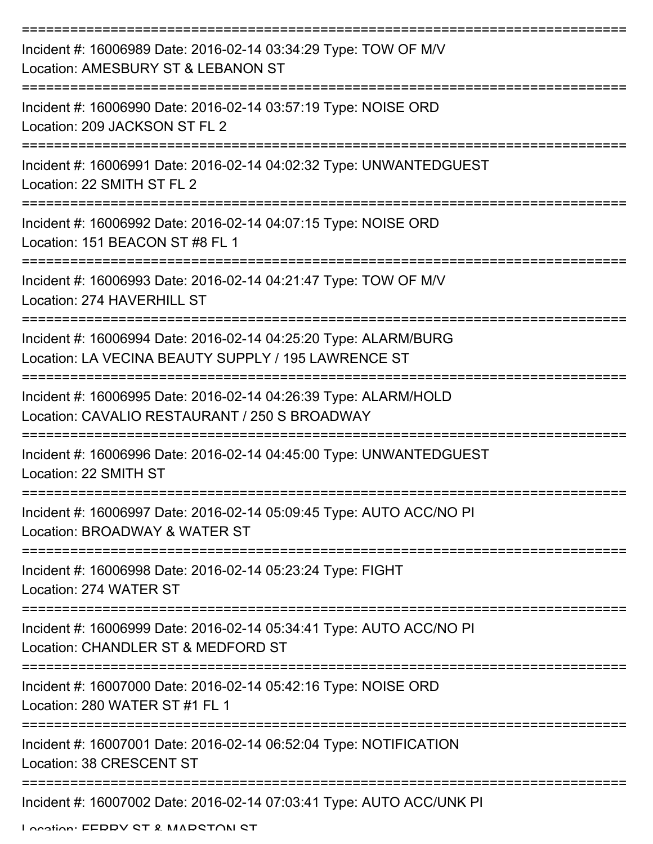| Incident #: 16006989 Date: 2016-02-14 03:34:29 Type: TOW OF M/V<br>Location: AMESBURY ST & LEBANON ST                  |
|------------------------------------------------------------------------------------------------------------------------|
| Incident #: 16006990 Date: 2016-02-14 03:57:19 Type: NOISE ORD<br>Location: 209 JACKSON ST FL 2                        |
| Incident #: 16006991 Date: 2016-02-14 04:02:32 Type: UNWANTEDGUEST<br>Location: 22 SMITH ST FL 2                       |
| Incident #: 16006992 Date: 2016-02-14 04:07:15 Type: NOISE ORD<br>Location: 151 BEACON ST #8 FL 1                      |
| Incident #: 16006993 Date: 2016-02-14 04:21:47 Type: TOW OF M/V<br>Location: 274 HAVERHILL ST                          |
| Incident #: 16006994 Date: 2016-02-14 04:25:20 Type: ALARM/BURG<br>Location: LA VECINA BEAUTY SUPPLY / 195 LAWRENCE ST |
| Incident #: 16006995 Date: 2016-02-14 04:26:39 Type: ALARM/HOLD<br>Location: CAVALIO RESTAURANT / 250 S BROADWAY       |
| Incident #: 16006996 Date: 2016-02-14 04:45:00 Type: UNWANTEDGUEST<br>Location: 22 SMITH ST                            |
| Incident #: 16006997 Date: 2016-02-14 05:09:45 Type: AUTO ACC/NO PI<br>Location: BROADWAY & WATER ST                   |
| Incident #: 16006998 Date: 2016-02-14 05:23:24 Type: FIGHT<br>Location: 274 WATER ST                                   |
| Incident #: 16006999 Date: 2016-02-14 05:34:41 Type: AUTO ACC/NO PI<br>Location: CHANDLER ST & MEDFORD ST              |
| Incident #: 16007000 Date: 2016-02-14 05:42:16 Type: NOISE ORD<br>Location: 280 WATER ST #1 FL 1                       |
| Incident #: 16007001 Date: 2016-02-14 06:52:04 Type: NOTIFICATION<br>Location: 38 CRESCENT ST                          |
| Incident #: 16007002 Date: 2016-02-14 07:03:41 Type: AUTO ACC/UNK PI                                                   |

Location: EEDDV CT & MADCTON CT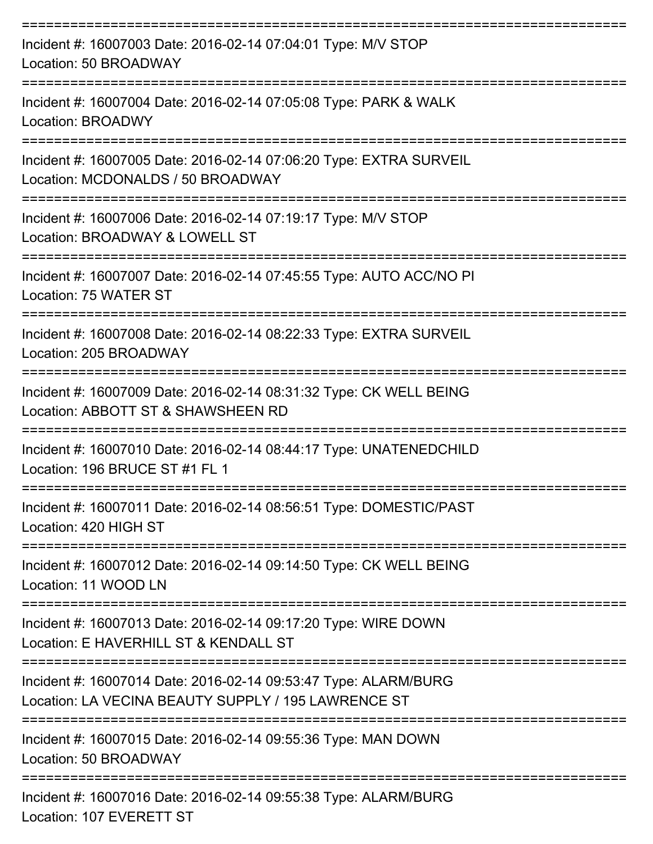| Incident #: 16007003 Date: 2016-02-14 07:04:01 Type: M/V STOP<br>Location: 50 BROADWAY                                 |
|------------------------------------------------------------------------------------------------------------------------|
| Incident #: 16007004 Date: 2016-02-14 07:05:08 Type: PARK & WALK<br><b>Location: BROADWY</b>                           |
| Incident #: 16007005 Date: 2016-02-14 07:06:20 Type: EXTRA SURVEIL<br>Location: MCDONALDS / 50 BROADWAY                |
| Incident #: 16007006 Date: 2016-02-14 07:19:17 Type: M/V STOP<br>Location: BROADWAY & LOWELL ST                        |
| Incident #: 16007007 Date: 2016-02-14 07:45:55 Type: AUTO ACC/NO PI<br>Location: 75 WATER ST                           |
| Incident #: 16007008 Date: 2016-02-14 08:22:33 Type: EXTRA SURVEIL<br>Location: 205 BROADWAY                           |
| Incident #: 16007009 Date: 2016-02-14 08:31:32 Type: CK WELL BEING<br>Location: ABBOTT ST & SHAWSHEEN RD               |
| Incident #: 16007010 Date: 2016-02-14 08:44:17 Type: UNATENEDCHILD<br>Location: 196 BRUCE ST #1 FL 1                   |
| Incident #: 16007011 Date: 2016-02-14 08:56:51 Type: DOMESTIC/PAST<br>Location: 420 HIGH ST                            |
| ======================<br>Incident #: 16007012 Date: 2016-02-14 09:14:50 Type: CK WELL BEING<br>Location: 11 WOOD LN   |
| Incident #: 16007013 Date: 2016-02-14 09:17:20 Type: WIRE DOWN<br>Location: E HAVERHILL ST & KENDALL ST                |
| Incident #: 16007014 Date: 2016-02-14 09:53:47 Type: ALARM/BURG<br>Location: LA VECINA BEAUTY SUPPLY / 195 LAWRENCE ST |
| Incident #: 16007015 Date: 2016-02-14 09:55:36 Type: MAN DOWN<br>Location: 50 BROADWAY                                 |
| Incident #: 16007016 Date: 2016-02-14 09:55:38 Type: ALARM/BURG<br>Location: 107 EVERETT ST                            |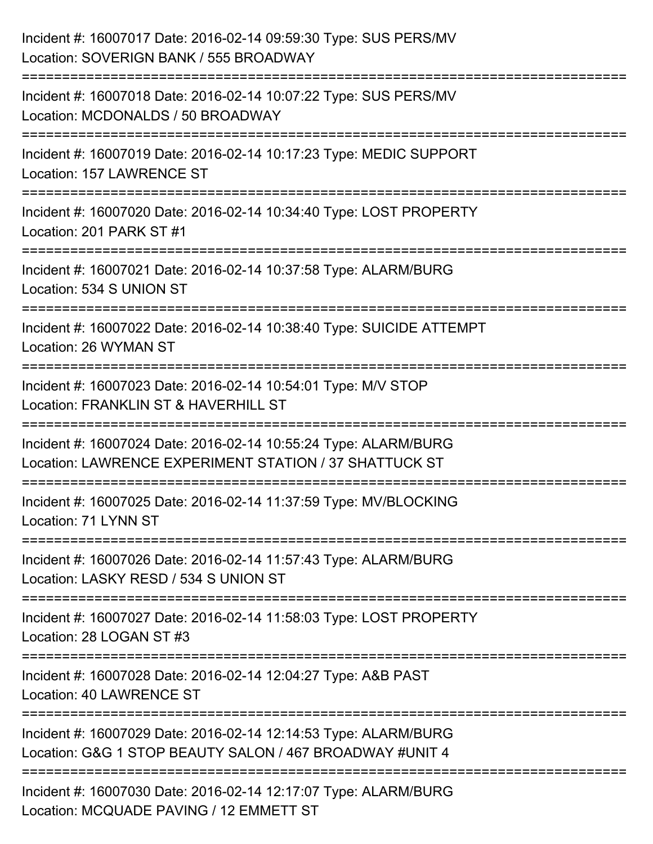| Incident #: 16007017 Date: 2016-02-14 09:59:30 Type: SUS PERS/MV<br>Location: SOVERIGN BANK / 555 BROADWAY                          |
|-------------------------------------------------------------------------------------------------------------------------------------|
| Incident #: 16007018 Date: 2016-02-14 10:07:22 Type: SUS PERS/MV<br>Location: MCDONALDS / 50 BROADWAY                               |
| Incident #: 16007019 Date: 2016-02-14 10:17:23 Type: MEDIC SUPPORT<br>Location: 157 LAWRENCE ST                                     |
| Incident #: 16007020 Date: 2016-02-14 10:34:40 Type: LOST PROPERTY<br>Location: 201 PARK ST #1                                      |
| Incident #: 16007021 Date: 2016-02-14 10:37:58 Type: ALARM/BURG<br>Location: 534 S UNION ST<br>==================================== |
| Incident #: 16007022 Date: 2016-02-14 10:38:40 Type: SUICIDE ATTEMPT<br>Location: 26 WYMAN ST                                       |
| Incident #: 16007023 Date: 2016-02-14 10:54:01 Type: M/V STOP<br>Location: FRANKLIN ST & HAVERHILL ST                               |
| Incident #: 16007024 Date: 2016-02-14 10:55:24 Type: ALARM/BURG<br>Location: LAWRENCE EXPERIMENT STATION / 37 SHATTUCK ST           |
| Incident #: 16007025 Date: 2016-02-14 11:37:59 Type: MV/BLOCKING<br>Location: 71 LYNN ST                                            |
| Incident #: 16007026 Date: 2016-02-14 11:57:43 Type: ALARM/BURG<br>Location: LASKY RESD / 534 S UNION ST                            |
| Incident #: 16007027 Date: 2016-02-14 11:58:03 Type: LOST PROPERTY<br>Location: 28 LOGAN ST #3                                      |
| Incident #: 16007028 Date: 2016-02-14 12:04:27 Type: A&B PAST<br><b>Location: 40 LAWRENCE ST</b>                                    |
| Incident #: 16007029 Date: 2016-02-14 12:14:53 Type: ALARM/BURG<br>Location: G&G 1 STOP BEAUTY SALON / 467 BROADWAY #UNIT 4         |
| Incident #: 16007030 Date: 2016-02-14 12:17:07 Type: ALARM/BURG<br>Location: MCQUADE PAVING / 12 EMMETT ST                          |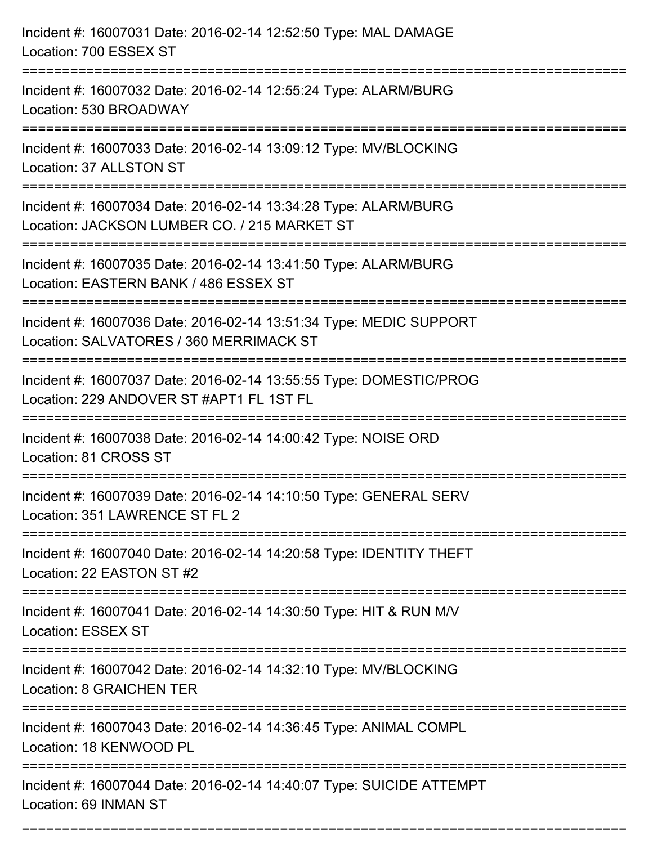| Incident #: 16007031 Date: 2016-02-14 12:52:50 Type: MAL DAMAGE<br>Location: 700 ESSEX ST                                                               |
|---------------------------------------------------------------------------------------------------------------------------------------------------------|
| Incident #: 16007032 Date: 2016-02-14 12:55:24 Type: ALARM/BURG<br>Location: 530 BROADWAY                                                               |
| Incident #: 16007033 Date: 2016-02-14 13:09:12 Type: MV/BLOCKING<br>Location: 37 ALLSTON ST<br>-----------------------------                            |
| Incident #: 16007034 Date: 2016-02-14 13:34:28 Type: ALARM/BURG<br>Location: JACKSON LUMBER CO. / 215 MARKET ST<br>==================================== |
| Incident #: 16007035 Date: 2016-02-14 13:41:50 Type: ALARM/BURG<br>Location: EASTERN BANK / 486 ESSEX ST                                                |
| Incident #: 16007036 Date: 2016-02-14 13:51:34 Type: MEDIC SUPPORT<br>Location: SALVATORES / 360 MERRIMACK ST                                           |
| Incident #: 16007037 Date: 2016-02-14 13:55:55 Type: DOMESTIC/PROG<br>Location: 229 ANDOVER ST #APT1 FL 1ST FL                                          |
| Incident #: 16007038 Date: 2016-02-14 14:00:42 Type: NOISE ORD<br>Location: 81 CROSS ST                                                                 |
| Incident #: 16007039 Date: 2016-02-14 14:10:50 Type: GENERAL SERV<br>Location: 351 LAWRENCE ST FL 2                                                     |
| Incident #: 16007040 Date: 2016-02-14 14:20:58 Type: IDENTITY THEFT<br>Location: 22 EASTON ST #2                                                        |
| Incident #: 16007041 Date: 2016-02-14 14:30:50 Type: HIT & RUN M/V<br><b>Location: ESSEX ST</b>                                                         |
| Incident #: 16007042 Date: 2016-02-14 14:32:10 Type: MV/BLOCKING<br><b>Location: 8 GRAICHEN TER</b>                                                     |
| Incident #: 16007043 Date: 2016-02-14 14:36:45 Type: ANIMAL COMPL<br>Location: 18 KENWOOD PL                                                            |
| Incident #: 16007044 Date: 2016-02-14 14:40:07 Type: SUICIDE ATTEMPT<br>Location: 69 INMAN ST                                                           |

===========================================================================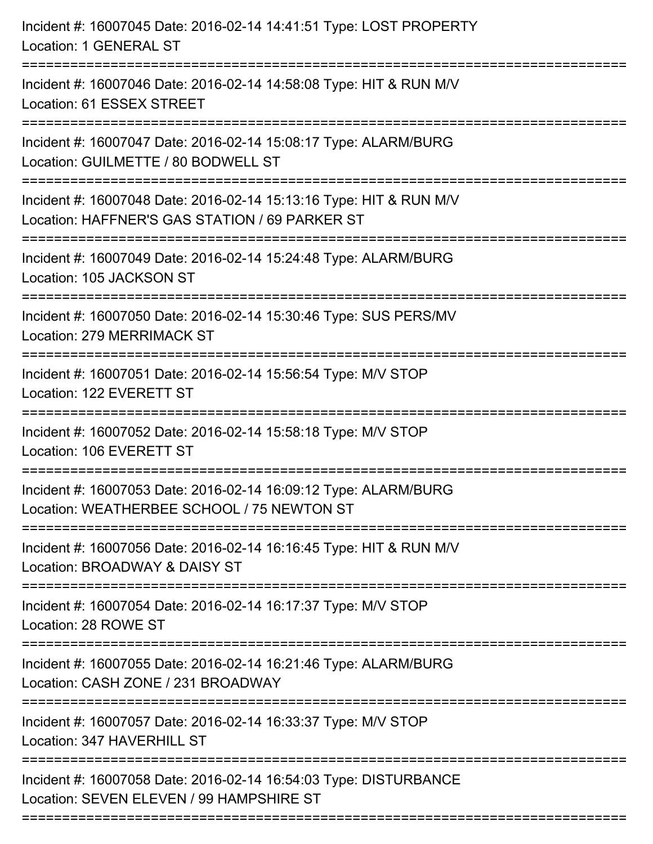| Incident #: 16007045 Date: 2016-02-14 14:41:51 Type: LOST PROPERTY<br>Location: 1 GENERAL ST                                                                   |
|----------------------------------------------------------------------------------------------------------------------------------------------------------------|
| ================================<br>-----------------------<br>Incident #: 16007046 Date: 2016-02-14 14:58:08 Type: HIT & RUN M/V<br>Location: 61 ESSEX STREET |
| Incident #: 16007047 Date: 2016-02-14 15:08:17 Type: ALARM/BURG<br>Location: GUILMETTE / 80 BODWELL ST                                                         |
| Incident #: 16007048 Date: 2016-02-14 15:13:16 Type: HIT & RUN M/V<br>Location: HAFFNER'S GAS STATION / 69 PARKER ST<br>-===============================       |
| Incident #: 16007049 Date: 2016-02-14 15:24:48 Type: ALARM/BURG<br>Location: 105 JACKSON ST                                                                    |
| Incident #: 16007050 Date: 2016-02-14 15:30:46 Type: SUS PERS/MV<br>Location: 279 MERRIMACK ST<br>:===================                                         |
| Incident #: 16007051 Date: 2016-02-14 15:56:54 Type: M/V STOP<br>Location: 122 EVERETT ST                                                                      |
| Incident #: 16007052 Date: 2016-02-14 15:58:18 Type: M/V STOP<br>Location: 106 EVERETT ST                                                                      |
| Incident #: 16007053 Date: 2016-02-14 16:09:12 Type: ALARM/BURG<br>Location: WEATHERBEE SCHOOL / 75 NEWTON ST                                                  |
| Incident #: 16007056 Date: 2016-02-14 16:16:45 Type: HIT & RUN M/V<br>Location: BROADWAY & DAISY ST                                                            |
| Incident #: 16007054 Date: 2016-02-14 16:17:37 Type: M/V STOP<br>Location: 28 ROWE ST                                                                          |
| Incident #: 16007055 Date: 2016-02-14 16:21:46 Type: ALARM/BURG<br>Location: CASH ZONE / 231 BROADWAY                                                          |
| Incident #: 16007057 Date: 2016-02-14 16:33:37 Type: M/V STOP<br>Location: 347 HAVERHILL ST                                                                    |
| Incident #: 16007058 Date: 2016-02-14 16:54:03 Type: DISTURBANCE<br>Location: SEVEN ELEVEN / 99 HAMPSHIRE ST                                                   |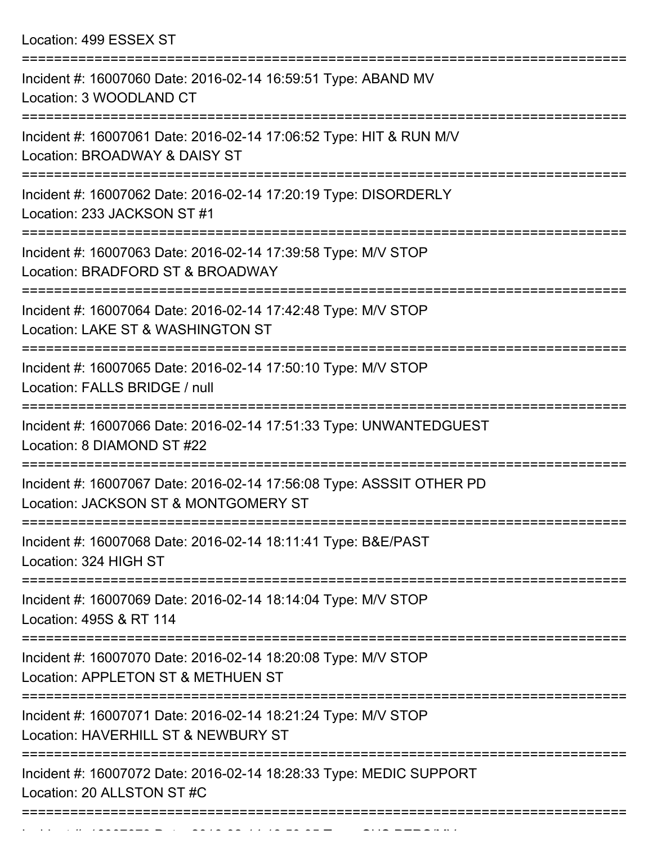Location: 499 ESSEX ST

| Incident #: 16007060 Date: 2016-02-14 16:59:51 Type: ABAND MV<br>Location: 3 WOODLAND CT                         |
|------------------------------------------------------------------------------------------------------------------|
| Incident #: 16007061 Date: 2016-02-14 17:06:52 Type: HIT & RUN M/V<br>Location: BROADWAY & DAISY ST              |
| Incident #: 16007062 Date: 2016-02-14 17:20:19 Type: DISORDERLY<br>Location: 233 JACKSON ST #1                   |
| Incident #: 16007063 Date: 2016-02-14 17:39:58 Type: M/V STOP<br>Location: BRADFORD ST & BROADWAY                |
| Incident #: 16007064 Date: 2016-02-14 17:42:48 Type: M/V STOP<br>Location: LAKE ST & WASHINGTON ST               |
| Incident #: 16007065 Date: 2016-02-14 17:50:10 Type: M/V STOP<br>Location: FALLS BRIDGE / null                   |
| Incident #: 16007066 Date: 2016-02-14 17:51:33 Type: UNWANTEDGUEST<br>Location: 8 DIAMOND ST #22                 |
| Incident #: 16007067 Date: 2016-02-14 17:56:08 Type: ASSSIT OTHER PD<br>Location: JACKSON ST & MONTGOMERY ST     |
| Incident #: 16007068 Date: 2016-02-14 18:11:41 Type: B&E/PAST<br>Location: 324 HIGH ST                           |
| ====================<br>Incident #: 16007069 Date: 2016-02-14 18:14:04 Type: M/V STOP<br>Location: 495S & RT 114 |
| Incident #: 16007070 Date: 2016-02-14 18:20:08 Type: M/V STOP<br>Location: APPLETON ST & METHUEN ST              |
| Incident #: 16007071 Date: 2016-02-14 18:21:24 Type: M/V STOP<br>Location: HAVERHILL ST & NEWBURY ST             |
| Incident #: 16007072 Date: 2016-02-14 18:28:33 Type: MEDIC SUPPORT<br>Location: 20 ALLSTON ST #C                 |
|                                                                                                                  |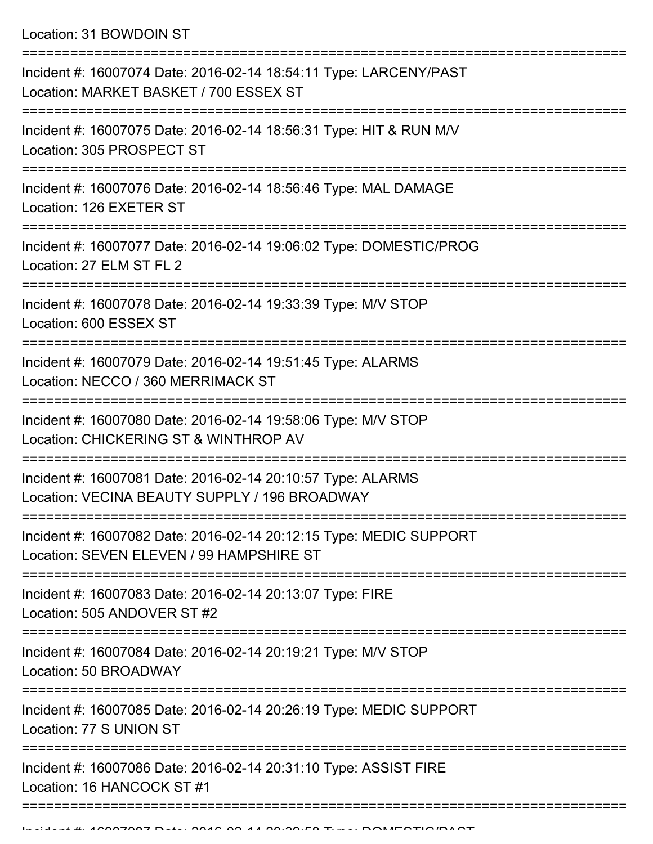Location: 31 BOWDOIN ST

| Incident #: 16007074 Date: 2016-02-14 18:54:11 Type: LARCENY/PAST<br>Location: MARKET BASKET / 700 ESSEX ST    |
|----------------------------------------------------------------------------------------------------------------|
| Incident #: 16007075 Date: 2016-02-14 18:56:31 Type: HIT & RUN M/V<br>Location: 305 PROSPECT ST                |
| Incident #: 16007076 Date: 2016-02-14 18:56:46 Type: MAL DAMAGE<br>Location: 126 EXETER ST                     |
| Incident #: 16007077 Date: 2016-02-14 19:06:02 Type: DOMESTIC/PROG<br>Location: 27 ELM ST FL 2                 |
| Incident #: 16007078 Date: 2016-02-14 19:33:39 Type: M/V STOP<br>Location: 600 ESSEX ST                        |
| Incident #: 16007079 Date: 2016-02-14 19:51:45 Type: ALARMS<br>Location: NECCO / 360 MERRIMACK ST              |
| Incident #: 16007080 Date: 2016-02-14 19:58:06 Type: M/V STOP<br>Location: CHICKERING ST & WINTHROP AV         |
| Incident #: 16007081 Date: 2016-02-14 20:10:57 Type: ALARMS<br>Location: VECINA BEAUTY SUPPLY / 196 BROADWAY   |
| Incident #: 16007082 Date: 2016-02-14 20:12:15 Type: MEDIC SUPPORT<br>Location: SEVEN ELEVEN / 99 HAMPSHIRE ST |
| Incident #: 16007083 Date: 2016-02-14 20:13:07 Type: FIRE<br>Location: 505 ANDOVER ST #2                       |
| Incident #: 16007084 Date: 2016-02-14 20:19:21 Type: M/V STOP<br>Location: 50 BROADWAY                         |
| Incident #: 16007085 Date: 2016-02-14 20:26:19 Type: MEDIC SUPPORT<br>Location: 77 S UNION ST                  |
| Incident #: 16007086 Date: 2016-02-14 20:31:10 Type: ASSIST FIRE<br>Location: 16 HANCOCK ST #1                 |
|                                                                                                                |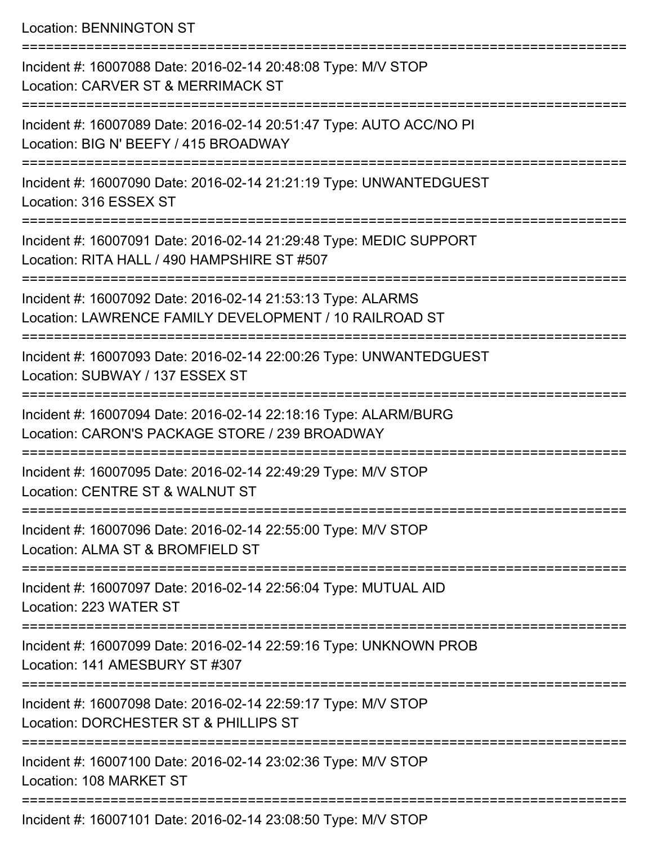Location: BENNINGTON ST

| Incident #: 16007088 Date: 2016-02-14 20:48:08 Type: M/V STOP<br>Location: CARVER ST & MERRIMACK ST                   |
|-----------------------------------------------------------------------------------------------------------------------|
| Incident #: 16007089 Date: 2016-02-14 20:51:47 Type: AUTO ACC/NO PI<br>Location: BIG N' BEEFY / 415 BROADWAY          |
| Incident #: 16007090 Date: 2016-02-14 21:21:19 Type: UNWANTEDGUEST<br>Location: 316 ESSEX ST                          |
| Incident #: 16007091 Date: 2016-02-14 21:29:48 Type: MEDIC SUPPORT<br>Location: RITA HALL / 490 HAMPSHIRE ST #507     |
| Incident #: 16007092 Date: 2016-02-14 21:53:13 Type: ALARMS<br>Location: LAWRENCE FAMILY DEVELOPMENT / 10 RAILROAD ST |
| Incident #: 16007093 Date: 2016-02-14 22:00:26 Type: UNWANTEDGUEST<br>Location: SUBWAY / 137 ESSEX ST                 |
| Incident #: 16007094 Date: 2016-02-14 22:18:16 Type: ALARM/BURG<br>Location: CARON'S PACKAGE STORE / 239 BROADWAY     |
| Incident #: 16007095 Date: 2016-02-14 22:49:29 Type: M/V STOP<br>Location: CENTRE ST & WALNUT ST                      |
| Incident #: 16007096 Date: 2016-02-14 22:55:00 Type: M/V STOP<br>Location: ALMA ST & BROMFIELD ST                     |
| Incident #: 16007097 Date: 2016-02-14 22:56:04 Type: MUTUAL AID<br>Location: 223 WATER ST                             |
| Incident #: 16007099 Date: 2016-02-14 22:59:16 Type: UNKNOWN PROB<br>Location: 141 AMESBURY ST #307                   |
| Incident #: 16007098 Date: 2016-02-14 22:59:17 Type: M/V STOP<br>Location: DORCHESTER ST & PHILLIPS ST                |
| Incident #: 16007100 Date: 2016-02-14 23:02:36 Type: M/V STOP<br>Location: 108 MARKET ST                              |
| Incident #: 16007101 Date: 2016-02-14 23:08:50 Type: M/V STOP                                                         |